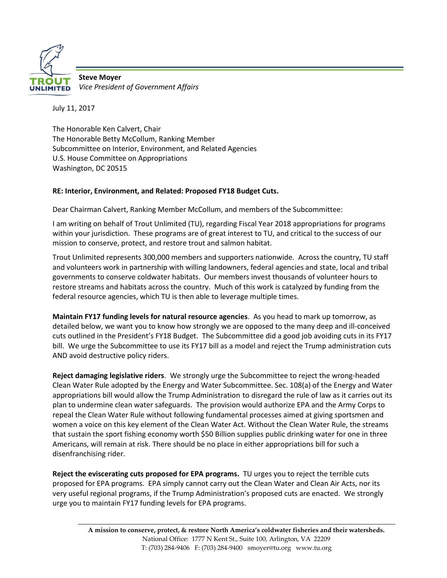

**Steve Moyer** *Vice President of Government Affairs*

July 11, 2017

The Honorable Ken Calvert, Chair The Honorable Betty McCollum, Ranking Member Subcommittee on Interior, Environment, and Related Agencies U.S. House Committee on Appropriations Washington, DC 20515

## **RE: Interior, Environment, and Related: Proposed FY18 Budget Cuts.**

Dear Chairman Calvert, Ranking Member McCollum, and members of the Subcommittee:

I am writing on behalf of Trout Unlimited (TU), regarding Fiscal Year 2018 appropriations for programs within your jurisdiction. These programs are of great interest to TU, and critical to the success of our mission to conserve, protect, and restore trout and salmon habitat.

Trout Unlimited represents 300,000 members and supporters nationwide. Across the country, TU staff and volunteers work in partnership with willing landowners, federal agencies and state, local and tribal governments to conserve coldwater habitats. Our members invest thousands of volunteer hours to restore streams and habitats across the country. Much of this work is catalyzed by funding from the federal resource agencies, which TU is then able to leverage multiple times.

**Maintain FY17 funding levels for natural resource agencies**. As you head to mark up tomorrow, as detailed below, we want you to know how strongly we are opposed to the many deep and ill-conceived cuts outlined in the President's FY18 Budget. The Subcommittee did a good job avoiding cuts in its FY17 bill. We urge the Subcommittee to use its FY17 bill as a model and reject the Trump administration cuts AND avoid destructive policy riders.

**Reject damaging legislative riders**. We strongly urge the Subcommittee to reject the wrong-headed Clean Water Rule adopted by the Energy and Water Subcommittee. Sec. 108(a) of the Energy and Water appropriations bill would allow the Trump Administration to disregard the rule of law as it carries out its plan to undermine clean water safeguards. The provision would authorize EPA and the Army Corps to repeal the Clean Water Rule without following fundamental processes aimed at giving sportsmen and women a voice on this key element of the Clean Water Act. Without the Clean Water Rule, the streams that sustain the sport fishing economy worth \$50 Billion supplies public drinking water for one in three Americans, will remain at risk. There should be no place in either appropriations bill for such a disenfranchising rider.

**Reject the eviscerating cuts proposed for EPA programs.** TU urges you to reject the terrible cuts proposed for EPA programs. EPA simply cannot carry out the Clean Water and Clean Air Acts, nor its very useful regional programs, if the Trump Administration's proposed cuts are enacted. We strongly urge you to maintain FY17 funding levels for EPA programs.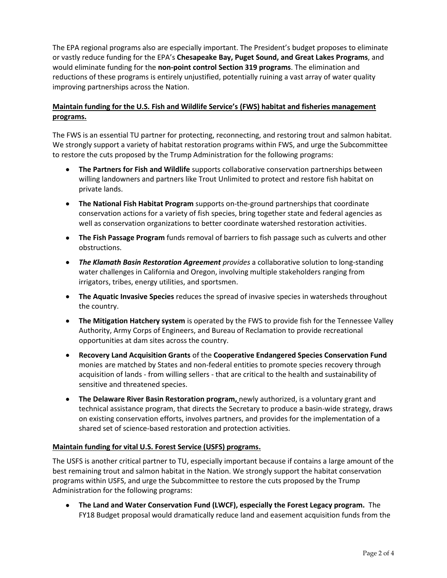The EPA regional programs also are especially important. The President's budget proposes to eliminate or vastly reduce funding for the EPA's **Chesapeake Bay, Puget Sound, and Great Lakes Programs**, and would eliminate funding for the **non-point control Section 319 programs**. The elimination and reductions of these programs is entirely unjustified, potentially ruining a vast array of water quality improving partnerships across the Nation.

# **Maintain funding for the U.S. Fish and Wildlife Service's (FWS) habitat and fisheries management programs.**

The FWS is an essential TU partner for protecting, reconnecting, and restoring trout and salmon habitat. We strongly support a variety of habitat restoration programs within FWS, and urge the Subcommittee to restore the cuts proposed by the Trump Administration for the following programs:

- **The Partners for Fish and Wildlife** supports collaborative conservation partnerships between willing landowners and partners like Trout Unlimited to protect and restore fish habitat on private lands.
- **The National Fish Habitat Program** supports on-the-ground partnerships that coordinate conservation actions for a variety of fish species, bring together state and federal agencies as well as conservation organizations to better coordinate watershed restoration activities.
- **The Fish Passage Program** funds removal of barriers to fish passage such as culverts and other obstructions.
- *The Klamath Basin Restoration Agreement provides* a collaborative solution to long-standing water challenges in California and Oregon, involving multiple stakeholders ranging from irrigators, tribes, energy utilities, and sportsmen.
- **The Aquatic Invasive Species** reduces the spread of invasive species in watersheds throughout the country.
- **The Mitigation Hatchery system** is operated by the FWS to provide fish for the Tennessee Valley Authority, Army Corps of Engineers, and Bureau of Reclamation to provide recreational opportunities at dam sites across the country.
- **Recovery Land Acquisition Grants** of the **Cooperative Endangered Species Conservation Fund**  monies are matched by States and non-federal entities to promote species recovery through acquisition of lands - from willing sellers - that are critical to the health and sustainability of sensitive and threatened species.
- **The Delaware River Basin Restoration program,** newly authorized, is a voluntary grant and technical assistance program, that directs the Secretary to produce a basin-wide strategy, draws on existing conservation efforts, involves partners, and provides for the implementation of a shared set of science-based restoration and protection activities.

#### **Maintain funding for vital U.S. Forest Service (USFS) programs.**

The USFS is another critical partner to TU, especially important because if contains a large amount of the best remaining trout and salmon habitat in the Nation. We strongly support the habitat conservation programs within USFS, and urge the Subcommittee to restore the cuts proposed by the Trump Administration for the following programs:

• **The Land and Water Conservation Fund (LWCF), especially the Forest Legacy program.** The FY18 Budget proposal would dramatically reduce land and easement acquisition funds from the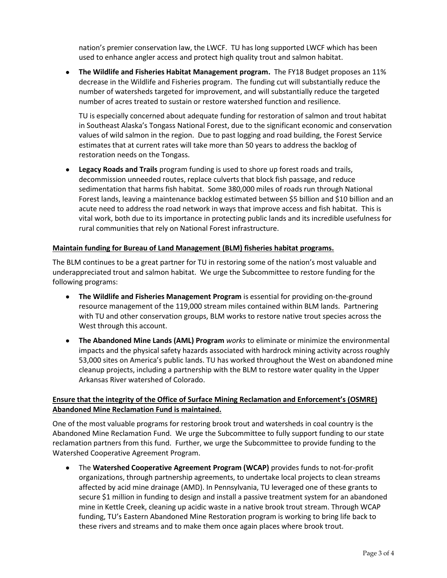nation's premier conservation law, the LWCF. TU has long supported LWCF which has been used to enhance angler access and protect high quality trout and salmon habitat.

• **The Wildlife and Fisheries Habitat Management program.** The FY18 Budget proposes an 11% decrease in the Wildlife and Fisheries program. The funding cut will substantially reduce the number of watersheds targeted for improvement, and will substantially reduce the targeted number of acres treated to sustain or restore watershed function and resilience.

TU is especially concerned about adequate funding for restoration of salmon and trout habitat in Southeast Alaska's Tongass National Forest, due to the significant economic and conservation values of wild salmon in the region. Due to past logging and road building, the Forest Service estimates that at current rates will take more than 50 years to address the backlog of restoration needs on the Tongass.

• **Legacy Roads and Trails** program funding is used to shore up forest roads and trails, decommission unneeded routes, replace culverts that block fish passage, and reduce sedimentation that harms fish habitat. Some 380,000 miles of roads run through National Forest lands, leaving a maintenance backlog estimated between \$5 billion and \$10 billion and an acute need to address the road network in ways that improve access and fish habitat. This is vital work, both due to its importance in protecting public lands and its incredible usefulness for rural communities that rely on National Forest infrastructure.

#### **Maintain funding for Bureau of Land Management (BLM) fisheries habitat programs.**

The BLM continues to be a great partner for TU in restoring some of the nation's most valuable and underappreciated trout and salmon habitat. We urge the Subcommittee to restore funding for the following programs:

- **The Wildlife and Fisheries Management Program** is essential for providing on-the-ground resource management of the 119,000 stream miles contained within BLM lands. Partnering with TU and other conservation groups, BLM works to restore native trout species across the West through this account.
- **The Abandoned Mine Lands (AML) Program** *works* to eliminate or minimize the environmental impacts and the physical safety hazards associated with hardrock mining activity across roughly 53,000 sites on America's public lands. TU has worked throughout the West on abandoned mine cleanup projects, including a partnership with the BLM to restore water quality in the Upper Arkansas River watershed of Colorado.

### **Ensure that the integrity of the Office of Surface Mining Reclamation and Enforcement's (OSMRE) Abandoned Mine Reclamation Fund is maintained.**

One of the most valuable programs for restoring brook trout and watersheds in coal country is the Abandoned Mine Reclamation Fund. We urge the Subcommittee to fully support funding to our state reclamation partners from this fund. Further, we urge the Subcommittee to provide funding to the Watershed Cooperative Agreement Program.

• The **Watershed Cooperative Agreement Program (WCAP)** provides funds to not-for-profit organizations, through partnership agreements, to undertake local projects to clean streams affected by acid mine drainage (AMD). In Pennsylvania, TU leveraged one of these grants to secure \$1 million in funding to design and install a passive treatment system for an abandoned mine in Kettle Creek, cleaning up acidic waste in a native brook trout stream. Through WCAP funding, TU's Eastern Abandoned Mine Restoration program is working to bring life back to these rivers and streams and to make them once again places where brook trout.